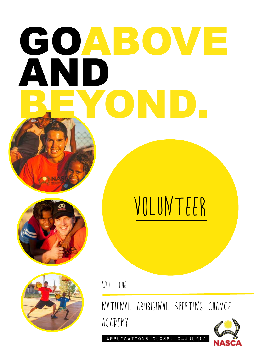# GOABOVE AND BEYOND.



## VOLUNTEER

with the

National Aboriginal Sporting Chance ACADEMY

Applications Close: 04july17

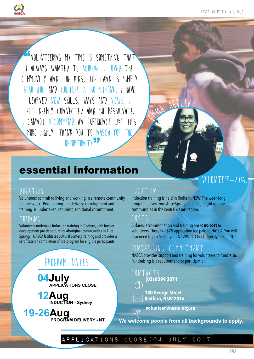NASCA Volunteer Info Pack



"Volunteering my time is something that I ALWAYS WANTED TO ACHIEVE. I LOVED THE community and the kids, the land is simply beautiful and culture is so strong. I have learned new skills, ways and views. I FELT DEEPLY CONNECTED AND SO PASSIONATE. I cannot recommend an experience like this MORE HIGHLY. THANK YOU TO NASCA FOR THE OPPORTUNITY.

### essential information

#### DURATION

Volunteers commit to living and working in a remote community for one week. Prior to program delivery, development and training is undertaken, requiring additional commitment.

#### Training

Volunteers undertake Induction training in Redfern, with further development pre-departure for Aboriginal communities in Alice Springs. NASCA facilitates cultural context training and provides a certificate on completion of the program for eligible participants.

### PROGRAM DATES

**04July**<br>**APPLICATIONS CLOSE** 

**12Aug** INDUCTION - Sydney

**19-26Aug PROGRAM DELIVERY - NT** 

#### LOCATION

Induction training is held in Redfern, NSW. The week-long program leaves from Alice Springs to one of eight remote communities in the central desert region.

Emma ARDLER

#### $($  STS

Airfares, accommodation and training are at **no cost** to volunteers. There is a \$25 application fee paid to NASCA. You will also need to pay \$5 for your NT WWCC Check directly to Safe NT.

#### FUNDRAISING COMMITMENT

NASCA provides support and training for volunteers to fundraise. Fundraising is a requirement for participation.

- CONTACTS **(02) 8399 3071**
- $\begin{picture}(20,20) \put(0,0){\line(1,0){10}} \put(15,0){\line(1,0){10}} \put(15,0){\line(1,0){10}} \put(15,0){\line(1,0){10}} \put(15,0){\line(1,0){10}} \put(15,0){\line(1,0){10}} \put(15,0){\line(1,0){10}} \put(15,0){\line(1,0){10}} \put(15,0){\line(1,0){10}} \put(15,0){\line(1,0){10}} \put(15,0){\line(1,0){10}} \put(15,0){\line(1$ **180 George Street**
- **Redfern, NSW 2016**

**volunteer@nasca.org.au**

 $\bigoplus$ **We welcome people from all backgrounds to apply.**

#### Applications Close:04 july 2017

### VOLUNTEER-2016.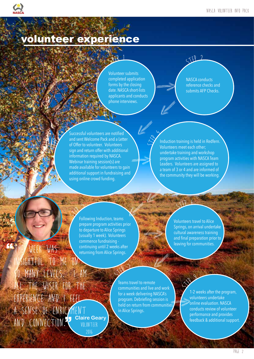

### volunteer experience

Volunteer submits completed application forms by the closing date. NASCA short-lists applicants and conducts phone interviews.

**H** 

<sup>S</sup>te<sup>p</sup> <sup>1</sup>

NASCA conducts reference checks and submits AFP Checks.

 $STFP$  2

H

**Harry Company** 

 Successful volunteers are notified and sent Welcome Pack and a Letter of Offer to volunteer. Volunteers sign and return offer with additional information required by NASCA. Webinar training session(s) are made available for volunteers to gain additional support in fundraising and using online crowd funding. H

 $\mathbb{Z}^4$ Induction training is held in Redfern. Volunteers meet each other; undertake training and workshop program activities with NASCA Team Leaders. Volunteers are assigned to a team of 3 or 4 and are informed of the community they will be working.

<sup>S</sup>te<sup>p</sup> <sup>6</sup>

 $\left\langle \right\rangle$ Following Induction, teams prepare program activities prior to departure to Alice Springs (usually 1 week). Volunteers commence fundraising continuing until 2 weeks after returning from Alice Springs. K Kata

 $S^{12}$ 

Volunteers travel to Alice Springs, on arrival undertake cultural awareness training and final preparation prior to leaving for communities.

WEEK WAS sightful to me so many levels. I am all the wiser for the experience and I feel a sense of enrichment AND CONNECTION. **Claire Geary** 2016

"

 $\mathbb{F}$ 

 $\mathbb{P}$ 

Teams travel to remote communities and live and work for a week delivering NASCA's program. Debriefing session is held on return from communities in Alice Springs.

H

**M** 

Ste<sup>p</sup> <sup>8</sup> 1-2 weeks after the program, volunteers undertake online evaluation. NASCA conducts review of volunteer performance and provides feedback & additional support.  $\frac{1}{2}$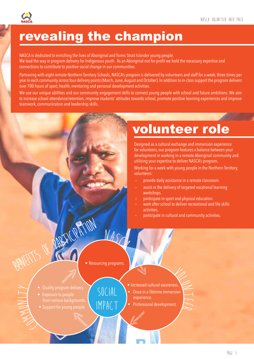

### revealing the champion

NASCA is dedicated to enriching the lives of Aboriginal and Torres Strait Islander young people. We lead the way in program delivery for Indigenous youth. As an Aboriginal not-for-profit we hold the necessary expertise and connections to contribute to positive social change in our communities.

Partnering with eight remote Northern Territory Schools, NASCA's program is delivered by volunteers and staff for a week, three times per year in each community across four delivery points (March, June, August and October). In addition to in-class support the program delivers over 700 hours of sport, health, mentoring and personal development activities.

We use our unique abilities and our community engagement skills to connect young people with school and future ambitions. We aim to increase school attendance/retention, improve students' attitudes towards school, promote positive learning experiences and improve teamwork, communication and leadership skills.

volunteer role

Designed as a cultural exchange and immersion experience for volunteers, our program features a balance between your development in working in a remote Aboriginal community and utilising your expertise to deliver NASCA's program.

Working for a week with young people in the Northern Territory, volunteers:

- provide daily assistance in a remote classroom.
- assist in the delivery of targeted vocational learning workshops.
- participate in sport and physical education.
- work after school to deliver recreational and life skills activities.

 $\overline{\phantom{a}}$  $\overline{\phantom{a}}$  $\approx$ 

participate in cultural and community activities.

• Resourcing programs.

SOCIAL

Impact

 $N_A$ 

**Harry Comment** 

FICRATION

ENSIN from various backgrounds.

 $\, \geq \,$ 

 $\overline{\phantom{0}}$  $\sum$ 

- Support for young people. People.
- Increased cultural awareness.
- Volume 1 • Once in a lifetime immersion
- experience.

H

• Professional development.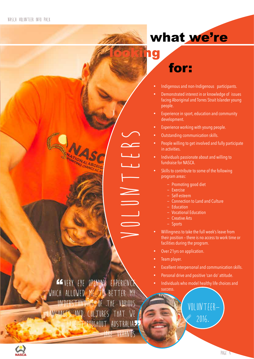### what we're

### looking for:

- Indigenous and non-Indigenous participants.
- Demonstrated interest in or knowledge of issues facing Aboriginal and Torres Strait Islander young people.
- Experience in sport, education and community development.
- Experience working with young people.
- Outstanding communication skills.
- People willing to get involved and fully participate in activities.
- Individuals passionate about and willing to fundraise for NASCA.
- Skills to contribute to some of the following program areas:
	- Promoting good diet
	- Exercise

Volunteers

- Self-esteem
- Connection to Land and Culture
- Education
- Vocational Education
- Creative Arts
- Sports
- Willingness to take the full week's leave from their position – there is no access to work time or facilities during the program.
- Over 21yrs on application.
- Team player.
- Excellent interpersonal and communication skills.
- Personal drive and positive 'can do' attitude.
- Individuals who model healthy life choices and success.

volunteer-

2016.

GEVERY EYE OPENING EXPERIENCE WHICH ALLOWED ME TO BETTER MY understanding of the various languages and cultures that we HAVE THROUGHOUT AUSTRALIA. -Jake Vrahnos

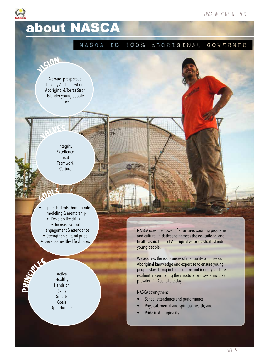### about NASCA

#### NASCA is 100% Aboriginal Governed

A proud, prosperous, healthy Australia where Aboriginal & Torres Strait Islander young people thrive.

Visio<sup>n</sup>

Value<sup>s</sup>

Goal<sup>s</sup>

Integrity **Excellence** Trust Teamwork **Culture** 

• Inspire students through role modeling & mentorship • Develop life skills

- Increase school engagement & attendance
- Strengthen cultural pride
- Develop healthy life choices

Active Healthy Hands on Skills Smarts Goals **Opportunities** 

 $\blacktriangle$ 

RINGS RS

NASCA uses the power of structured sporting programs and cultural initiatives to harness the educational and health aspirations of Aboriginal & Torres Strait Islander young people.

We address the root causes of inequality, and use our Aboriginal knowledge and expertise to ensure young people stay strong in their culture and identity and are resilient in combating the structural and systemic bias prevalent in Australia today.

NASCA strengthens:

- School attendance and performance
- Physical, mental and spiritual health; and
- Pride in Aboriginality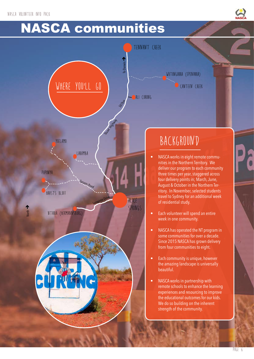### NASCA communities

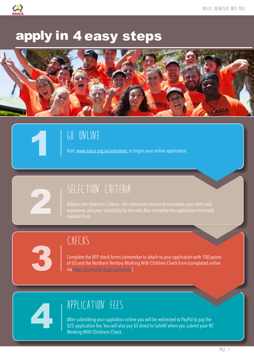

### apply in 4 easy steps





Visit www.nasca.org.au/volunteer to begin your online application.



3

1

### SELECTION CRITERIA

Address the Selection Criteria - this statement should demonstrate your skills and expeience, and your suitability for the role. Also complete the application form and 2 medical form.

CHECKS

Complete the AFP check forms (remember to attach to your application with 100 points of ID) and the Northern Territory Working With Children Check form (completed online via https://forms.pfes.nt.gov.au/safent/ )

### APPLICATION FEES

After submitting your appliation online you will be redirected to PayPal to pay the \$25 application fee. You will also pay \$5 direct to SafeNT when you submit your NT Working WIth Childrens Check.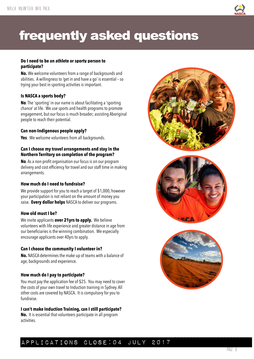

### frequently asked questions

#### **Do I need to be an athlete or sporty person to participate?**

**No.** We welcome volunteers from a range of backgrounds and abilities. A willingness to 'get in and have a go' is essential – so trying your best in sporting activities is important.

#### **Is NASCA a sports body?**

**No**. The 'sporting' in our name is about facilitating a 'sporting chance' at life. We use sports and health programs to promote engagement, but our focus is much broader; assisting Aboriginal people to reach their potential.

#### **Can non-Indigenous people apply?**

**Yes**. We welcome volunteers from all backgrounds.

#### **Can I choose my travel arrangements and stay in the Northern Territory on completion of the program?**

**No**. As a non-profit organisation our focus is on our program delivery and cost efficiency for travel and our staff time in making arrangements.

#### **How much do I need to fundraise?**

We provide support for you to reach a target of \$1,000, however your participation is not reliant on the amount of money you raise. **Every dollar helps** NASCA to deliver our programs.

#### **How old must I be?**

We invite applicants **over 21yrs to apply.** We believe volunteers with life experience and greater distance in age from our beneficiaries is the winning combination. We especially encourage applicants over 40yrs to apply.

#### **Can I choose the community I volunteer in?**

**No.** NASCA determines the make up of teams with a balance of age, backgrounds and experience.

#### **How much do I pay to participate?**

You must pay the application fee of \$25. You may need to cover the costs of your own travel to Induction training in Sydney. All other costs are covered by NASCA. It is compulsory for you to fundraise.

#### **I can't make Induction Training, can I still participate?**

**No.** It is essential that volunteers participate in all program activities.







#### Applications Close:04 july 2017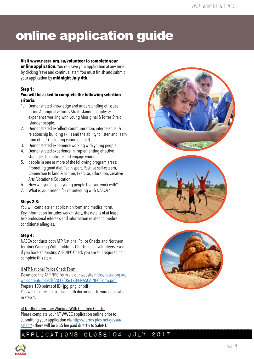### online application guide

#### **Visit www.nasca.org.au/volunteer to complete your**

**online application.** You can save your application at any time by clicking 'save and continue later.' You must finish and submit your application by **midnight July 4th.**

#### **Step 1:**

#### **You will be asked to complete the following selection criteria:**

- 1. Demonstrated knowledge and understanding of issues facing Aboriginal & Torres Strait Islander peoples & experience working with young Aboriginal & Torres Strait Islander people.
- 2. Demonstrated excellent communication, interpersonal & relationship building skills and the ability to listen and learn from others (including young people).
- 3. Demonstrated experience working with young people.
- 4. Demonstrated experience in implementing effective strategies to motivate and engage young
- 5. people in one or more of the following program areas: Promoting good diet, Team sport, Positive self-esteem, Connection to land & culture, Exercise, Education, Creative Arts, Vocational Education
- 6. How will you inspire young people that you work with?
- 7. What is your reason for volunteering with NASCA?

#### **Steps 2-3:**

You will complete an application form and medical form. Key information includes work history, the details of at least two profesional referee's and information related to medical conditions/ allergies.

#### **Step 4:**

NASCA conducts both AFP National Police Checks and Northern Territory Working With Childrens Checks for all volunteers. Even if you have an existing AFP NPC Check you are still required to complete this step.

#### i) AFP National Police Check Form:

Download the AFP NPC Form via our website http://nasca.org.au/ wp-content/uploads/2017/05/1784-NASCA-NPC-Form.pdf.

Prepare 100 points of ID (jpg. png. or pdf)

You will be directed to attach both documents to your application in step 4.

ii) Northern Territory Working With Children Check:

Please complete your NT WWCC application online prior to submitting your application via https://forms.pfes.net.gov.au/ safent/ - there will be a \$5 fee paid directly to SafeNT.

PPLICATIONS CLOSE:04 JULY 2017